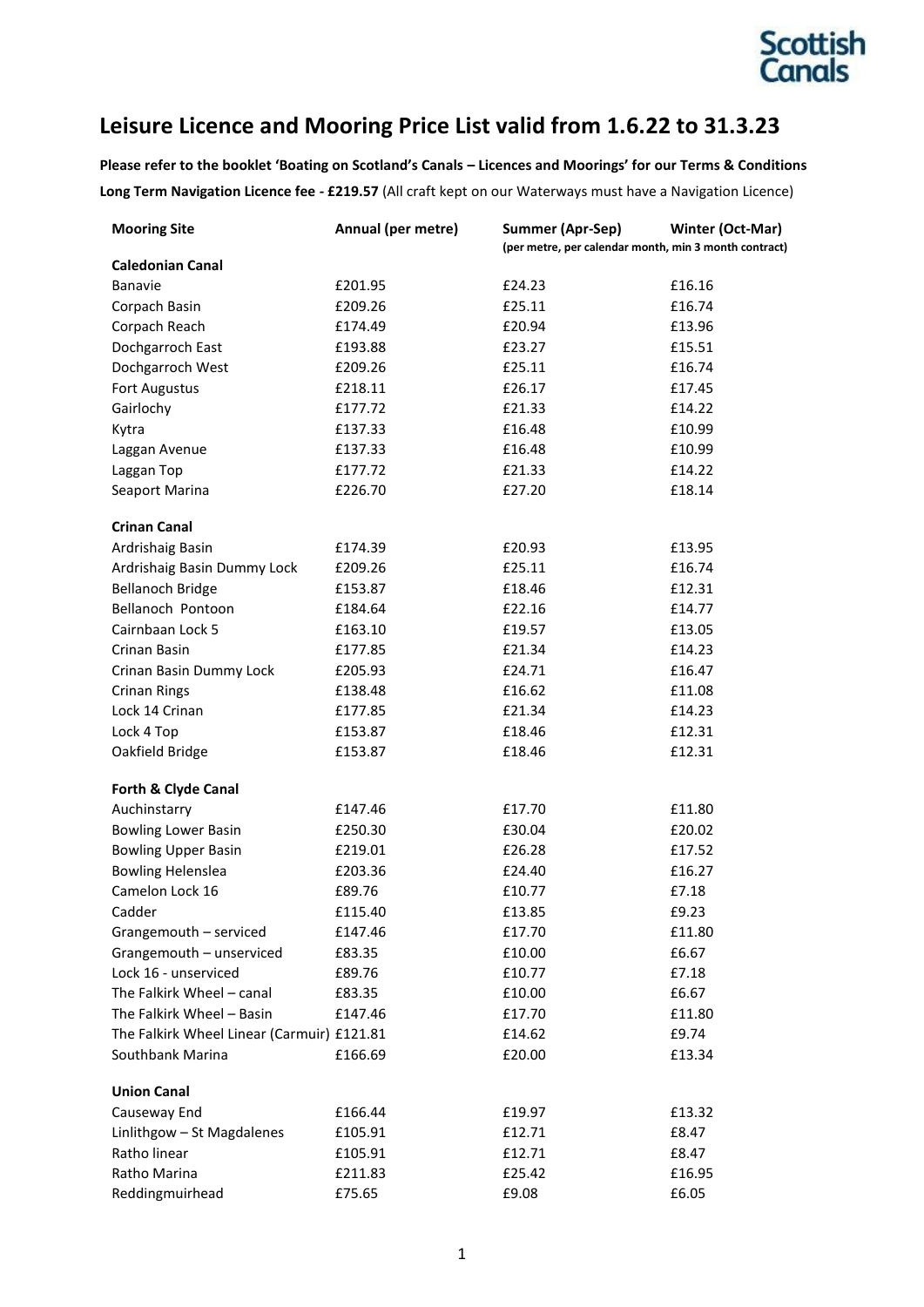

# **Leisure Licence and Mooring Price List valid from 1.6.22 to 31.3.23**

**Please refer to the booklet 'Boating on Scotland's Canals – Licences and Moorings' for our Terms & Conditions Long Term Navigation Licence fee - £219.57** (All craft kept on our Waterways must have a Navigation Licence)

| <b>Mooring Site</b>                        | Annual (per metre) | <b>Summer (Apr-Sep)</b>                               | Winter (Oct-Mar) |
|--------------------------------------------|--------------------|-------------------------------------------------------|------------------|
|                                            |                    | (per metre, per calendar month, min 3 month contract) |                  |
| <b>Caledonian Canal</b>                    |                    |                                                       |                  |
| Banavie                                    | £201.95            | £24.23                                                | £16.16           |
| Corpach Basin                              | £209.26            | £25.11                                                | £16.74           |
| Corpach Reach                              | £174.49            | £20.94                                                | £13.96           |
| Dochgarroch East                           | £193.88            | £23.27                                                | £15.51           |
| Dochgarroch West                           | £209.26            | £25.11                                                | £16.74           |
| Fort Augustus                              | £218.11            | £26.17                                                | £17.45           |
| Gairlochy                                  | £177.72            | £21.33                                                | £14.22           |
| Kytra                                      | £137.33            | £16.48                                                | £10.99           |
| Laggan Avenue                              | £137.33            | £16.48                                                | £10.99           |
| Laggan Top                                 | £177.72            | £21.33                                                | £14.22           |
| Seaport Marina                             | £226.70            | £27.20                                                | £18.14           |
| <b>Crinan Canal</b>                        |                    |                                                       |                  |
| Ardrishaig Basin                           | £174.39            | £20.93                                                | £13.95           |
| Ardrishaig Basin Dummy Lock                | £209.26            | £25.11                                                | £16.74           |
| <b>Bellanoch Bridge</b>                    | £153.87            | £18.46                                                | £12.31           |
| Bellanoch Pontoon                          | £184.64            | £22.16                                                | £14.77           |
| Cairnbaan Lock 5                           | £163.10            | £19.57                                                | £13.05           |
| Crinan Basin                               | £177.85            | £21.34                                                | £14.23           |
| Crinan Basin Dummy Lock                    | £205.93            | £24.71                                                | £16.47           |
| <b>Crinan Rings</b>                        | £138.48            | £16.62                                                | £11.08           |
| Lock 14 Crinan                             | £177.85            | £21.34                                                | £14.23           |
| Lock 4 Top                                 | £153.87            | £18.46                                                | £12.31           |
| Oakfield Bridge                            | £153.87            | £18.46                                                | £12.31           |
| Forth & Clyde Canal                        |                    |                                                       |                  |
| Auchinstarry                               | £147.46            | £17.70                                                | £11.80           |
| <b>Bowling Lower Basin</b>                 | £250.30            | £30.04                                                | £20.02           |
| <b>Bowling Upper Basin</b>                 | £219.01            | £26.28                                                | £17.52           |
| <b>Bowling Helenslea</b>                   | £203.36            | £24.40                                                | £16.27           |
| Camelon Lock 16                            | £89.76             | £10.77                                                | £7.18            |
| Cadder                                     | £115.40            | £13.85                                                | £9.23            |
| Grangemouth - serviced                     | £147.46            | £17.70                                                | £11.80           |
| Grangemouth - unserviced                   | £83.35             | £10.00                                                | £6.67            |
| Lock 16 - unserviced                       | £89.76             | £10.77                                                | £7.18            |
| The Falkirk Wheel - canal                  | £83.35             | £10.00                                                | £6.67            |
| The Falkirk Wheel - Basin                  | £147.46            | £17.70                                                | £11.80           |
| The Falkirk Wheel Linear (Carmuir) £121.81 |                    | £14.62                                                | £9.74            |
| Southbank Marina                           | £166.69            | £20.00                                                | £13.34           |
| <b>Union Canal</b>                         |                    |                                                       |                  |
| Causeway End                               | £166.44            | £19.97                                                | £13.32           |
| Linlithgow - St Magdalenes                 | £105.91            | £12.71                                                | £8.47            |
| Ratho linear                               | £105.91            | £12.71                                                | £8.47            |
| Ratho Marina                               | £211.83            | £25.42                                                | £16.95           |
| Reddingmuirhead                            | £75.65             | £9.08                                                 | £6.05            |